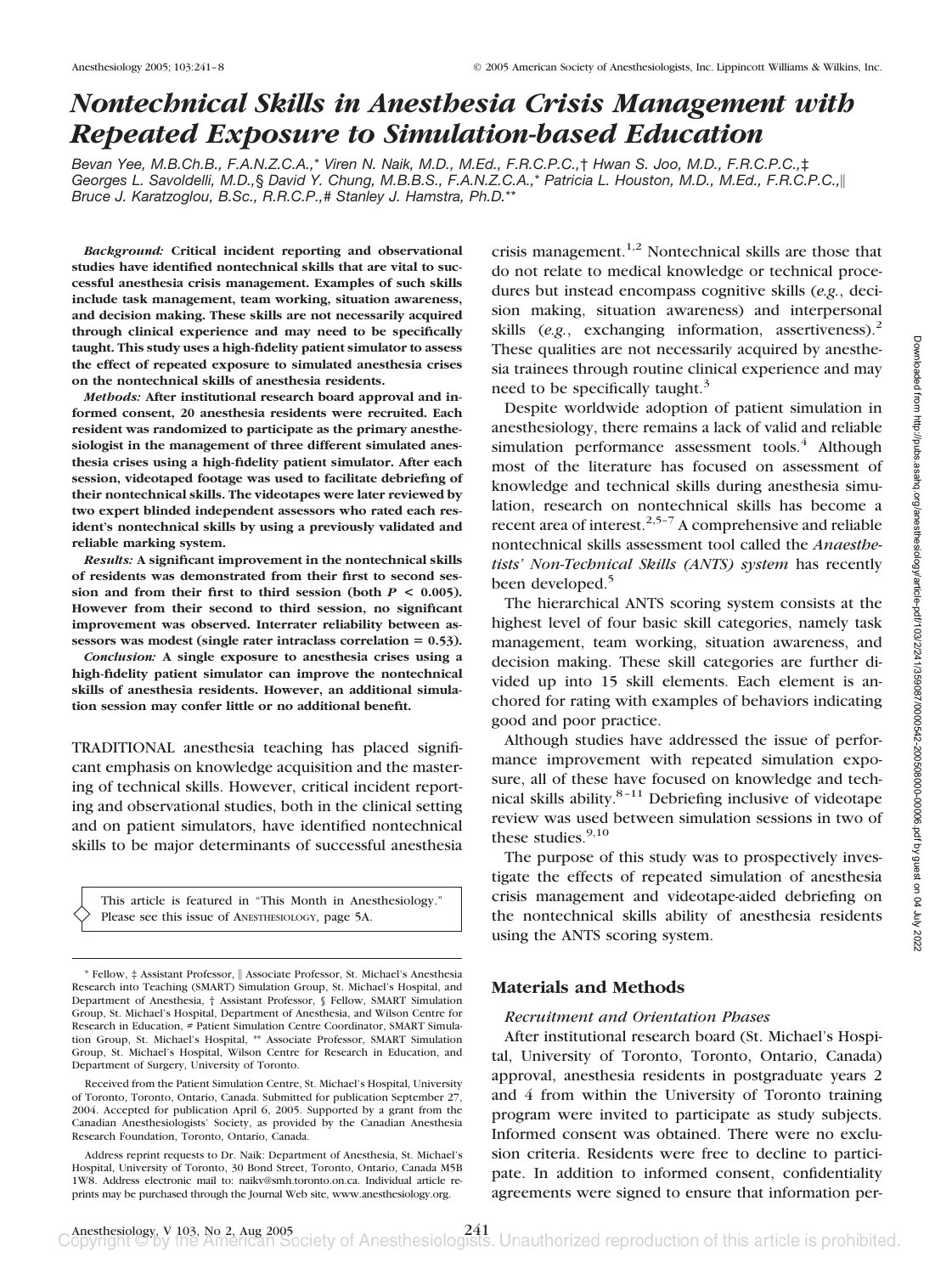# *Nontechnical Skills in Anesthesia Crisis Management with Repeated Exposure to Simulation-based Education*

*Bevan Yee, M.B.Ch.B., F.A.N.Z.C.A.,*\* *Viren N. Naik, M.D., M.Ed., F.R.C.P.C.,*† *Hwan S. Joo, M.D., F.R.C.P.C.,*‡ *Georges L. Savoldelli, M.D.,*§ *David Y. Chung, M.B.B.S., F.A.N.Z.C.A.,*\* *Patricia L. Houston, M.D., M.Ed., F.R.C.P.C., Bruce J. Karatzoglou, B.Sc., R.R.C.P.,*# *Stanley J. Hamstra, Ph.D.*\*\*

*Background:* **Critical incident reporting and observational studies have identified nontechnical skills that are vital to successful anesthesia crisis management. Examples of such skills include task management, team working, situation awareness, and decision making. These skills are not necessarily acquired through clinical experience and may need to be specifically taught. This study uses a high-fidelity patient simulator to assess the effect of repeated exposure to simulated anesthesia crises on the nontechnical skills of anesthesia residents.**

*Methods:* **After institutional research board approval and informed consent, 20 anesthesia residents were recruited. Each resident was randomized to participate as the primary anesthesiologist in the management of three different simulated anesthesia crises using a high-fidelity patient simulator. After each session, videotaped footage was used to facilitate debriefing of their nontechnical skills. The videotapes were later reviewed by two expert blinded independent assessors who rated each resident's nontechnical skills by using a previously validated and reliable marking system.**

*Results:* **A significant improvement in the nontechnical skills of residents was demonstrated from their first to second session and from their first to third session (both**  $P \leq 0.005$ **). However from their second to third session, no significant improvement was observed. Interrater reliability between assessors was modest (single rater intraclass correlation 0.53).**

*Conclusion:* **A single exposure to anesthesia crises using a high-fidelity patient simulator can improve the nontechnical skills of anesthesia residents. However, an additional simulation session may confer little or no additional benefit.**

TRADITIONAL anesthesia teaching has placed significant emphasis on knowledge acquisition and the mastering of technical skills. However, critical incident reporting and observational studies, both in the clinical setting and on patient simulators, have identified nontechnical skills to be major determinants of successful anesthesia

This article is featured in "This Month in Anesthesiology." Please see this issue of ANESTHESIOLOGY, page 5A.

crisis management.<sup>1,2</sup> Nontechnical skills are those that do not relate to medical knowledge or technical procedures but instead encompass cognitive skills (*e.g.*, decision making, situation awareness) and interpersonal skills (*e.g.*, exchanging information, assertiveness).<sup>2</sup> These qualities are not necessarily acquired by anesthesia trainees through routine clinical experience and may need to be specifically taught. $3$ 

Despite worldwide adoption of patient simulation in anesthesiology, there remains a lack of valid and reliable simulation performance assessment tools. $4$  Although most of the literature has focused on assessment of knowledge and technical skills during anesthesia simulation, research on nontechnical skills has become a recent area of interest. $2,5-7$  A comprehensive and reliable nontechnical skills assessment tool called the *Anaesthetists' Non-Technical Skills (ANTS) system* has recently been developed.<sup>5</sup>

The hierarchical ANTS scoring system consists at the highest level of four basic skill categories, namely task management, team working, situation awareness, and decision making. These skill categories are further divided up into 15 skill elements. Each element is anchored for rating with examples of behaviors indicating good and poor practice.

Although studies have addressed the issue of performance improvement with repeated simulation exposure, all of these have focused on knowledge and technical skills ability.<sup>8-11</sup> Debriefing inclusive of videotape review was used between simulation sessions in two of these studies.<sup>9,10</sup>

The purpose of this study was to prospectively investigate the effects of repeated simulation of anesthesia crisis management and videotape-aided debriefing on the nontechnical skills ability of anesthesia residents using the ANTS scoring system.

# **Materials and Methods**

#### *Recruitment and Orientation Phases*

After institutional research board (St. Michael's Hospital, University of Toronto, Toronto, Ontario, Canada) approval, anesthesia residents in postgraduate years 2 and 4 from within the University of Toronto training program were invited to participate as study subjects. Informed consent was obtained. There were no exclusion criteria. Residents were free to decline to participate. In addition to informed consent, confidentiality agreements were signed to ensure that information per-

<sup>\*</sup> Fellow,  $\ddagger$  Assistant Professor, || Associate Professor, St. Michael's Anesthesia Research into Teaching (SMART) Simulation Group, St. Michael's Hospital, and Department of Anesthesia, † Assistant Professor, § Fellow, SMART Simulation Group, St. Michael's Hospital, Department of Anesthesia, and Wilson Centre for Research in Education, # Patient Simulation Centre Coordinator, SMART Simulation Group, St. Michael's Hospital, \*\* Associate Professor, SMART Simulation Group, St. Michael's Hospital, Wilson Centre for Research in Education, and Department of Surgery, University of Toronto.

Received from the Patient Simulation Centre, St. Michael's Hospital, University of Toronto, Toronto, Ontario, Canada. Submitted for publication September 27, 2004. Accepted for publication April 6, 2005. Supported by a grant from the Canadian Anesthesiologists' Society, as provided by the Canadian Anesthesia Research Foundation, Toronto, Ontario, Canada.

Address reprint requests to Dr. Naik: Department of Anesthesia, St. Michael's Hospital, University of Toronto, 30 Bond Street, Toronto, Ontario, Canada M5B 1W8. Address electronic mail to: naikv@smh.toronto.on.ca. Individual article reprints may be purchased through the Journal Web site, www.anesthesiology.org.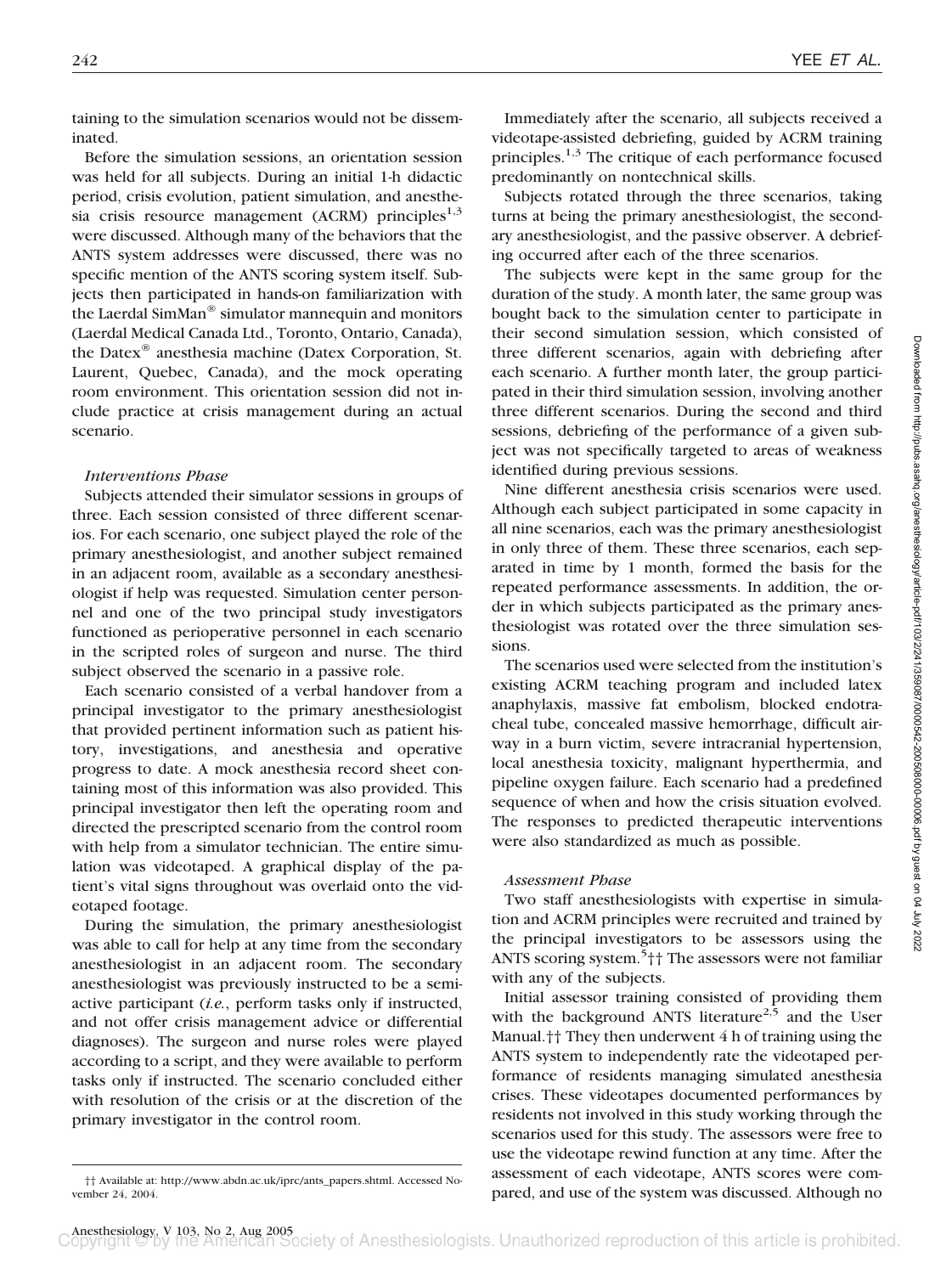taining to the simulation scenarios would not be disseminated.

Before the simulation sessions, an orientation session was held for all subjects. During an initial 1-h didactic period, crisis evolution, patient simulation, and anesthesia crisis resource management (ACRM) principles $1,3$ were discussed. Although many of the behaviors that the ANTS system addresses were discussed, there was no specific mention of the ANTS scoring system itself. Subjects then participated in hands-on familiarization with the Laerdal SimMan® simulator mannequin and monitors (Laerdal Medical Canada Ltd., Toronto, Ontario, Canada), the Datex® anesthesia machine (Datex Corporation, St. Laurent, Quebec, Canada), and the mock operating room environment. This orientation session did not include practice at crisis management during an actual scenario.

### *Interventions Phase*

Subjects attended their simulator sessions in groups of three. Each session consisted of three different scenarios. For each scenario, one subject played the role of the primary anesthesiologist, and another subject remained in an adjacent room, available as a secondary anesthesiologist if help was requested. Simulation center personnel and one of the two principal study investigators functioned as perioperative personnel in each scenario in the scripted roles of surgeon and nurse. The third subject observed the scenario in a passive role.

Each scenario consisted of a verbal handover from a principal investigator to the primary anesthesiologist that provided pertinent information such as patient history, investigations, and anesthesia and operative progress to date. A mock anesthesia record sheet containing most of this information was also provided. This principal investigator then left the operating room and directed the prescripted scenario from the control room with help from a simulator technician. The entire simulation was videotaped. A graphical display of the patient's vital signs throughout was overlaid onto the videotaped footage.

During the simulation, the primary anesthesiologist was able to call for help at any time from the secondary anesthesiologist in an adjacent room. The secondary anesthesiologist was previously instructed to be a semiactive participant (*i.e.*, perform tasks only if instructed, and not offer crisis management advice or differential diagnoses). The surgeon and nurse roles were played according to a script, and they were available to perform tasks only if instructed. The scenario concluded either with resolution of the crisis or at the discretion of the primary investigator in the control room.

Immediately after the scenario, all subjects received a videotape-assisted debriefing, guided by ACRM training principles.<sup>1,3</sup> The critique of each performance focused predominantly on nontechnical skills.

Subjects rotated through the three scenarios, taking turns at being the primary anesthesiologist, the secondary anesthesiologist, and the passive observer. A debriefing occurred after each of the three scenarios.

The subjects were kept in the same group for the duration of the study. A month later, the same group was bought back to the simulation center to participate in their second simulation session, which consisted of three different scenarios, again with debriefing after each scenario. A further month later, the group participated in their third simulation session, involving another three different scenarios. During the second and third sessions, debriefing of the performance of a given subject was not specifically targeted to areas of weakness identified during previous sessions.

Nine different anesthesia crisis scenarios were used. Although each subject participated in some capacity in all nine scenarios, each was the primary anesthesiologist in only three of them. These three scenarios, each separated in time by 1 month, formed the basis for the repeated performance assessments. In addition, the order in which subjects participated as the primary anesthesiologist was rotated over the three simulation sessions.

The scenarios used were selected from the institution's existing ACRM teaching program and included latex anaphylaxis, massive fat embolism, blocked endotracheal tube, concealed massive hemorrhage, difficult airway in a burn victim, severe intracranial hypertension, local anesthesia toxicity, malignant hyperthermia, and pipeline oxygen failure. Each scenario had a predefined sequence of when and how the crisis situation evolved. The responses to predicted therapeutic interventions were also standardized as much as possible.

#### *Assessment Phase*

Two staff anesthesiologists with expertise in simulation and ACRM principles were recruited and trained by the principal investigators to be assessors using the ANTS scoring system.<sup>5</sup>†† The assessors were not familiar with any of the subjects.

Initial assessor training consisted of providing them with the background ANTS literature<sup>2,5</sup> and the User Manual.†† They then underwent 4 h of training using the ANTS system to independently rate the videotaped performance of residents managing simulated anesthesia crises. These videotapes documented performances by residents not involved in this study working through the scenarios used for this study. The assessors were free to use the videotape rewind function at any time. After the assessment of each videotape, ANTS scores were compared, and use of the system was discussed. Although no the system was discussed. Although no the system was discussed. Although no

vember 24, 2004.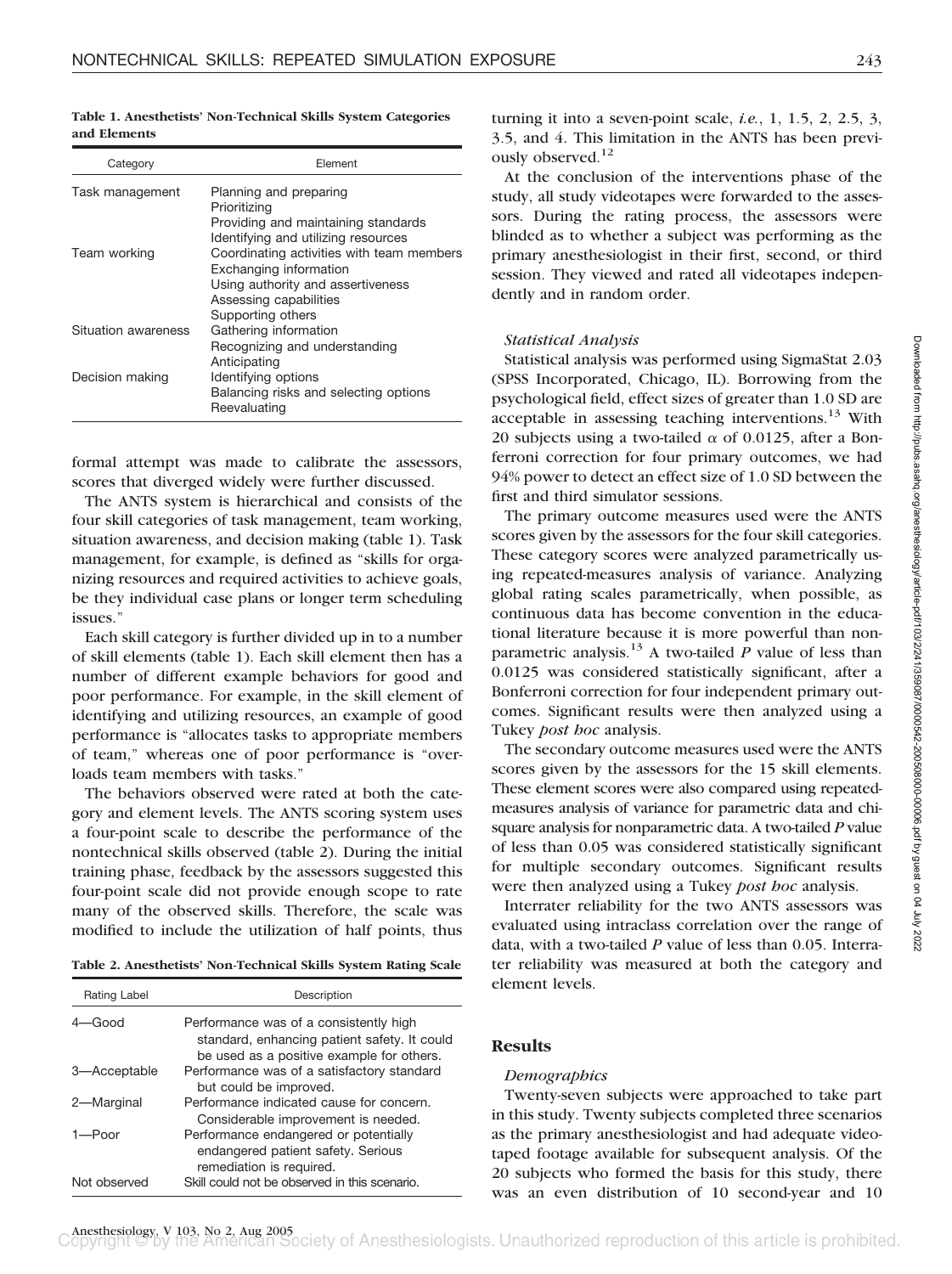#### **Table 1. Anesthetists' Non-Technical Skills System Categories and Elements**

| Category            | Element                                                                                                  |
|---------------------|----------------------------------------------------------------------------------------------------------|
| Task management     | Planning and preparing<br>Prioritizing                                                                   |
|                     | Providing and maintaining standards<br>Identifying and utilizing resources                               |
| Team working        | Coordinating activities with team members<br>Exchanging information<br>Using authority and assertiveness |
|                     | Assessing capabilities<br>Supporting others                                                              |
| Situation awareness | Gathering information<br>Recognizing and understanding<br>Anticipating                                   |
| Decision making     | Identifying options<br>Balancing risks and selecting options<br>Reevaluating                             |

formal attempt was made to calibrate the assessors, scores that diverged widely were further discussed.

The ANTS system is hierarchical and consists of the four skill categories of task management, team working, situation awareness, and decision making (table 1). Task management, for example, is defined as "skills for organizing resources and required activities to achieve goals, be they individual case plans or longer term scheduling issues."

Each skill category is further divided up in to a number of skill elements (table 1). Each skill element then has a number of different example behaviors for good and poor performance. For example, in the skill element of identifying and utilizing resources, an example of good performance is "allocates tasks to appropriate members of team," whereas one of poor performance is "overloads team members with tasks."

The behaviors observed were rated at both the category and element levels. The ANTS scoring system uses a four-point scale to describe the performance of the nontechnical skills observed (table 2). During the initial training phase, feedback by the assessors suggested this four-point scale did not provide enough scope to rate many of the observed skills. Therefore, the scale was modified to include the utilization of half points, thus

**Table 2. Anesthetists' Non-Technical Skills System Rating Scale**

| <b>Rating Label</b> | Description                                                                                                                         |
|---------------------|-------------------------------------------------------------------------------------------------------------------------------------|
| —Good               | Performance was of a consistently high<br>standard, enhancing patient safety. It could<br>be used as a positive example for others. |
| 3-Acceptable        | Performance was of a satisfactory standard<br>but could be improved.                                                                |
| 2-Marginal          | Performance indicated cause for concern.<br>Considerable improvement is needed.                                                     |
| $1 -$ Poor          | Performance endangered or potentially<br>endangered patient safety. Serious<br>remediation is required.                             |
| Not observed        | Skill could not be observed in this scenario.                                                                                       |

turning it into a seven-point scale, *i.e.*, 1, 1.5, 2, 2.5, 3, 3.5, and 4. This limitation in the ANTS has been previously observed.12

At the conclusion of the interventions phase of the study, all study videotapes were forwarded to the assessors. During the rating process, the assessors were blinded as to whether a subject was performing as the primary anesthesiologist in their first, second, or third session. They viewed and rated all videotapes independently and in random order.

## *Statistical Analysis*

Statistical analysis was performed using SigmaStat 2.03 (SPSS Incorporated, Chicago, IL). Borrowing from the psychological field, effect sizes of greater than 1.0 SD are acceptable in assessing teaching interventions.<sup>13</sup> With 20 subjects using a two-tailed  $\alpha$  of 0.0125, after a Bonferroni correction for four primary outcomes, we had 94% power to detect an effect size of 1.0 SD between the first and third simulator sessions.

The primary outcome measures used were the ANTS scores given by the assessors for the four skill categories. These category scores were analyzed parametrically using repeated-measures analysis of variance. Analyzing global rating scales parametrically, when possible, as continuous data has become convention in the educational literature because it is more powerful than nonparametric analysis.<sup>13</sup> A two-tailed  $P$  value of less than 0.0125 was considered statistically significant, after a Bonferroni correction for four independent primary outcomes. Significant results were then analyzed using a Tukey *post hoc* analysis.

The secondary outcome measures used were the ANTS scores given by the assessors for the 15 skill elements. These element scores were also compared using repeatedmeasures analysis of variance for parametric data and chisquare analysis for nonparametric data. A two-tailed *P* value of less than 0.05 was considered statistically significant for multiple secondary outcomes. Significant results were then analyzed using a Tukey *post hoc* analysis.

Interrater reliability for the two ANTS assessors was evaluated using intraclass correlation over the range of data, with a two-tailed *P* value of less than 0.05. Interrater reliability was measured at both the category and element levels.

## **Results**

## *Demographics*

Twenty-seven subjects were approached to take part in this study. Twenty subjects completed three scenarios as the primary anesthesiologist and had adequate videotaped footage available for subsequent analysis. Of the 20 subjects who formed the basis for this study, there was an even distribution of 10 second-year and 10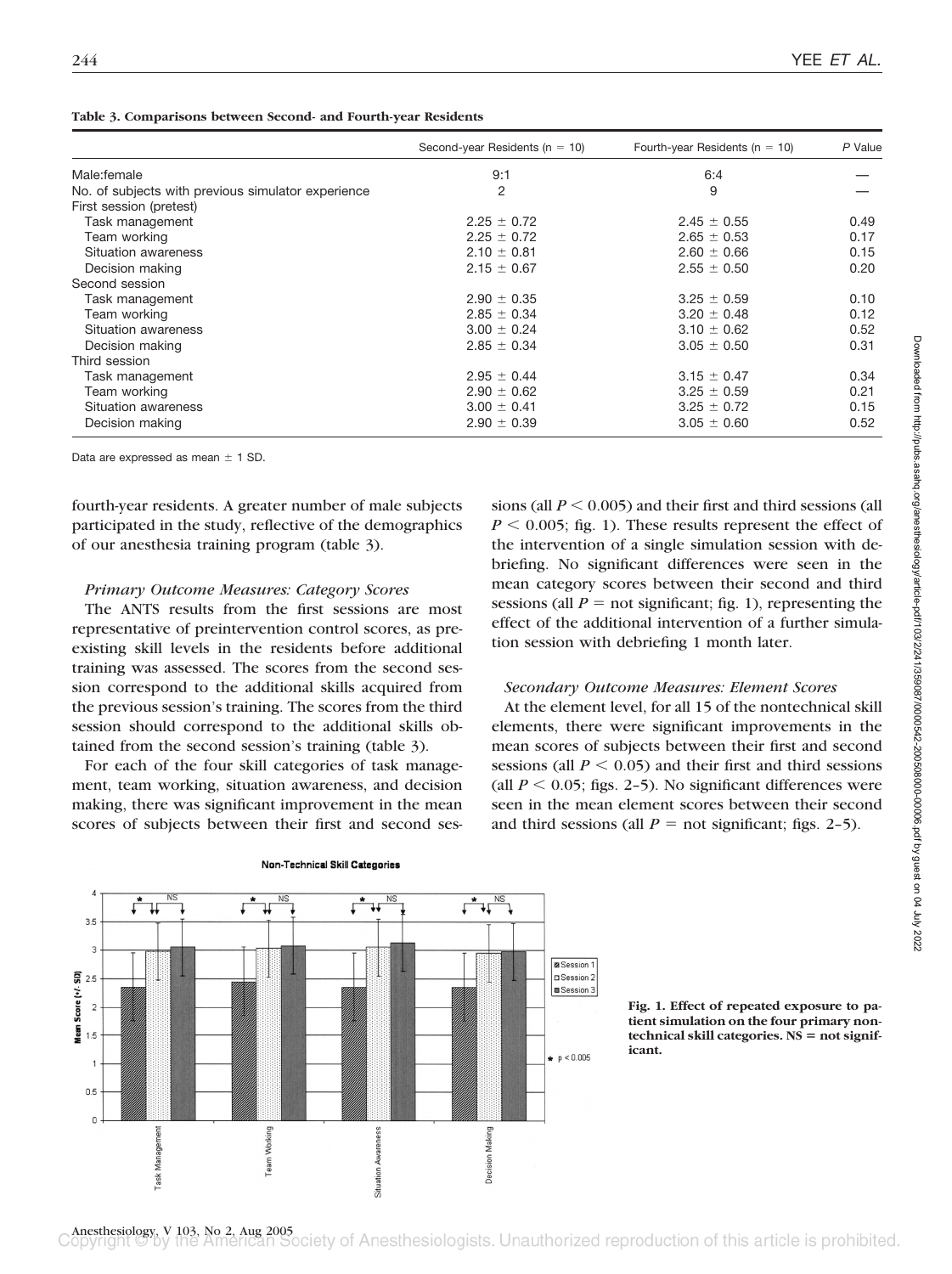|  |  |  | Table 3. Comparisons between Second- and Fourth-year Residents |
|--|--|--|----------------------------------------------------------------|
|  |  |  |                                                                |

|                                                    | Second-year Residents ( $n = 10$ ) | Fourth-year Residents ( $n = 10$ ) | P Value |
|----------------------------------------------------|------------------------------------|------------------------------------|---------|
| Male:female                                        | 9:1                                | 6:4                                |         |
| No. of subjects with previous simulator experience | 2                                  | 9                                  |         |
| First session (pretest)                            |                                    |                                    |         |
| Task management                                    | $2.25 \pm 0.72$                    | $2.45 \pm 0.55$                    | 0.49    |
| Team working                                       | $2.25 \pm 0.72$                    | $2.65 \pm 0.53$                    | 0.17    |
| Situation awareness                                | $2.10 \pm 0.81$                    | $2.60 \pm 0.66$                    | 0.15    |
| Decision making                                    | $2.15 \pm 0.67$                    | $2.55 \pm 0.50$                    | 0.20    |
| Second session                                     |                                    |                                    |         |
| Task management                                    | $2.90 \pm 0.35$                    | $3.25 \pm 0.59$                    | 0.10    |
| Team working                                       | $2.85 \pm 0.34$                    | $3.20 \pm 0.48$                    | 0.12    |
| Situation awareness                                | $3.00 \pm 0.24$                    | $3.10 \pm 0.62$                    | 0.52    |
| Decision making                                    | $2.85 \pm 0.34$                    | $3.05 \pm 0.50$                    | 0.31    |
| Third session                                      |                                    |                                    |         |
| Task management                                    | $2.95 \pm 0.44$                    | $3.15 \pm 0.47$                    | 0.34    |
| Team working                                       | $2.90 \pm 0.62$                    | $3.25 \pm 0.59$                    | 0.21    |
| Situation awareness                                | $3.00 \pm 0.41$                    | $3.25 \pm 0.72$                    | 0.15    |
| Decision making                                    | $2.90 \pm 0.39$                    | $3.05 \pm 0.60$                    | 0.52    |

Data are expressed as mean  $\pm$  1 SD.

fourth-year residents. A greater number of male subjects participated in the study, reflective of the demographics of our anesthesia training program (table 3).

## *Primary Outcome Measures: Category Scores*

The ANTS results from the first sessions are most representative of preintervention control scores, as preexisting skill levels in the residents before additional training was assessed. The scores from the second session correspond to the additional skills acquired from the previous session's training. The scores from the third session should correspond to the additional skills obtained from the second session's training (table 3).

For each of the four skill categories of task management, team working, situation awareness, and decision making, there was significant improvement in the mean scores of subjects between their first and second sessions (all  $P \le 0.005$ ) and their first and third sessions (all  $P \leq 0.005$ ; fig. 1). These results represent the effect of the intervention of a single simulation session with debriefing. No significant differences were seen in the mean category scores between their second and third sessions (all  $P =$  not significant; fig. 1), representing the effect of the additional intervention of a further simulation session with debriefing 1 month later.

## *Secondary Outcome Measures: Element Scores*

At the element level, for all 15 of the nontechnical skill elements, there were significant improvements in the mean scores of subjects between their first and second sessions (all  $P \le 0.05$ ) and their first and third sessions (all  $P \le 0.05$ ; figs. 2–5). No significant differences were seen in the mean element scores between their second and third sessions (all  $P =$  not significant; figs. 2–5).



#### Non-Technical Skill Categories

**Fig. 1. Effect of repeated exposure to patient simulation on the four primary non**technical skill categories. NS = not signif**icant.**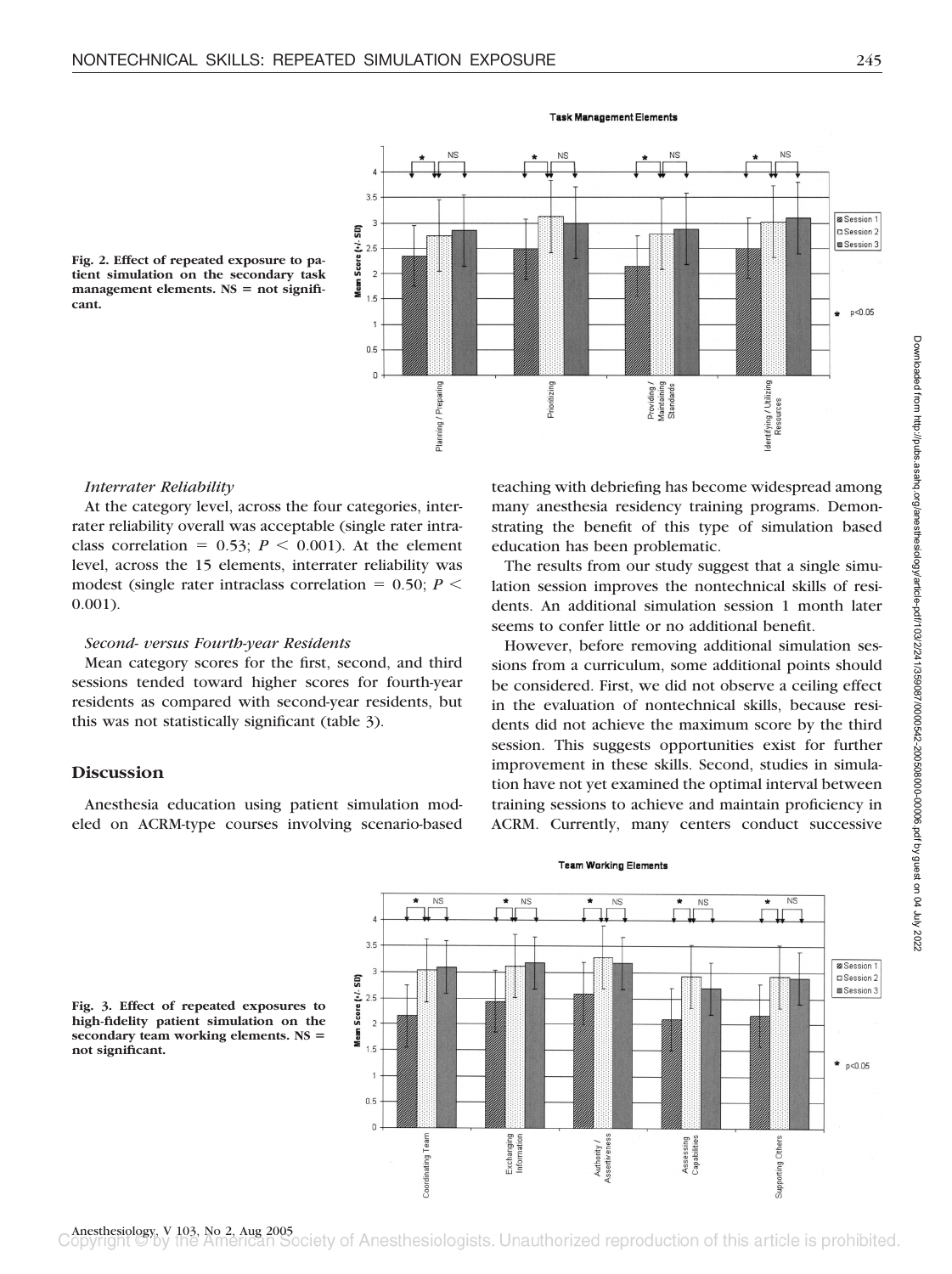

#### **Task Management Elements**

#### *Interrater Reliability*

**cant.**

**Fig. 2. Effect of repeated exposure to patient simulation on the secondary task**  $$ 

At the category level, across the four categories, interrater reliability overall was acceptable (single rater intraclass correlation =  $0.53$ ;  $P < 0.001$ ). At the element level, across the 15 elements, interrater reliability was modest (single rater intraclass correlation  $= 0.50; P \leq$ 0.001).

#### *Second- versus Fourth-year Residents*

Mean category scores for the first, second, and third sessions tended toward higher scores for fourth-year residents as compared with second-year residents, but this was not statistically significant (table 3).

#### **Discussion**

Anesthesia education using patient simulation modeled on ACRM-type courses involving scenario-based teaching with debriefing has become widespread among many anesthesia residency training programs. Demonstrating the benefit of this type of simulation based education has been problematic.

The results from our study suggest that a single simulation session improves the nontechnical skills of residents. An additional simulation session 1 month later seems to confer little or no additional benefit.

However, before removing additional simulation sessions from a curriculum, some additional points should be considered. First, we did not observe a ceiling effect in the evaluation of nontechnical skills, because residents did not achieve the maximum score by the third session. This suggests opportunities exist for further improvement in these skills. Second, studies in simulation have not yet examined the optimal interval between training sessions to achieve and maintain proficiency in ACRM. Currently, many centers conduct successive



#### **Team Working Elements**

**Fig. 3. Effect of repeated exposures to high-fidelity patient simulation on the secondary team working elements. NS not significant.**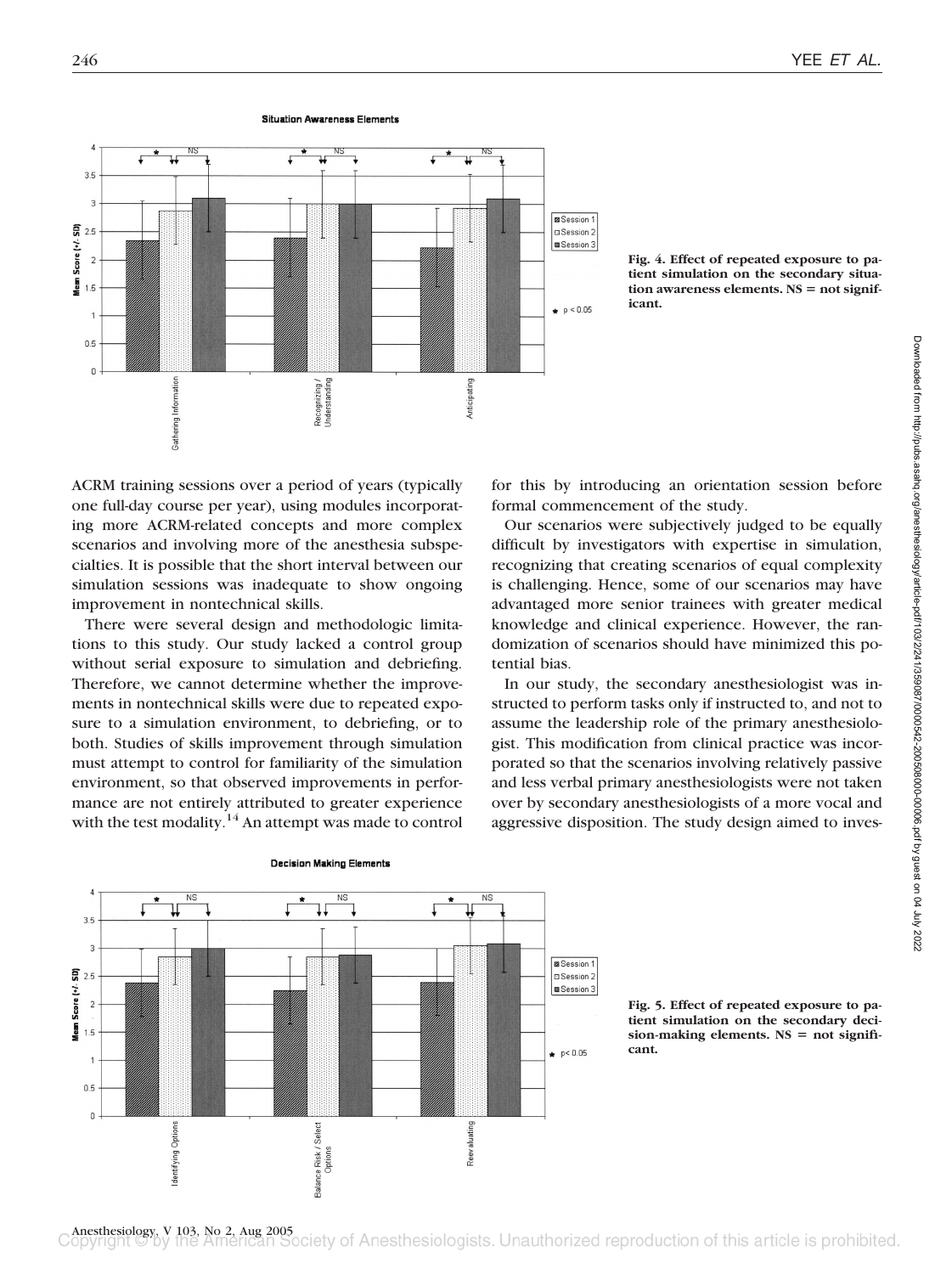

**Situation Awareness Elements** 



ACRM training sessions over a period of years (typically one full-day course per year), using modules incorporating more ACRM-related concepts and more complex scenarios and involving more of the anesthesia subspecialties. It is possible that the short interval between our simulation sessions was inadequate to show ongoing improvement in nontechnical skills.

There were several design and methodologic limitations to this study. Our study lacked a control group without serial exposure to simulation and debriefing. Therefore, we cannot determine whether the improvements in nontechnical skills were due to repeated exposure to a simulation environment, to debriefing, or to both. Studies of skills improvement through simulation must attempt to control for familiarity of the simulation environment, so that observed improvements in performance are not entirely attributed to greater experience with the test modality.<sup>14</sup> An attempt was made to control for this by introducing an orientation session before formal commencement of the study.

Our scenarios were subjectively judged to be equally difficult by investigators with expertise in simulation, recognizing that creating scenarios of equal complexity is challenging. Hence, some of our scenarios may have advantaged more senior trainees with greater medical knowledge and clinical experience. However, the randomization of scenarios should have minimized this potential bias.

In our study, the secondary anesthesiologist was instructed to perform tasks only if instructed to, and not to assume the leadership role of the primary anesthesiologist. This modification from clinical practice was incorporated so that the scenarios involving relatively passive and less verbal primary anesthesiologists were not taken over by secondary anesthesiologists of a more vocal and aggressive disposition. The study design aimed to inves-



#### **Decision Making Elements**

**Fig. 5. Effect of repeated exposure to patient simulation on the secondary deci**sion-making elements. NS = not signifi**cant.**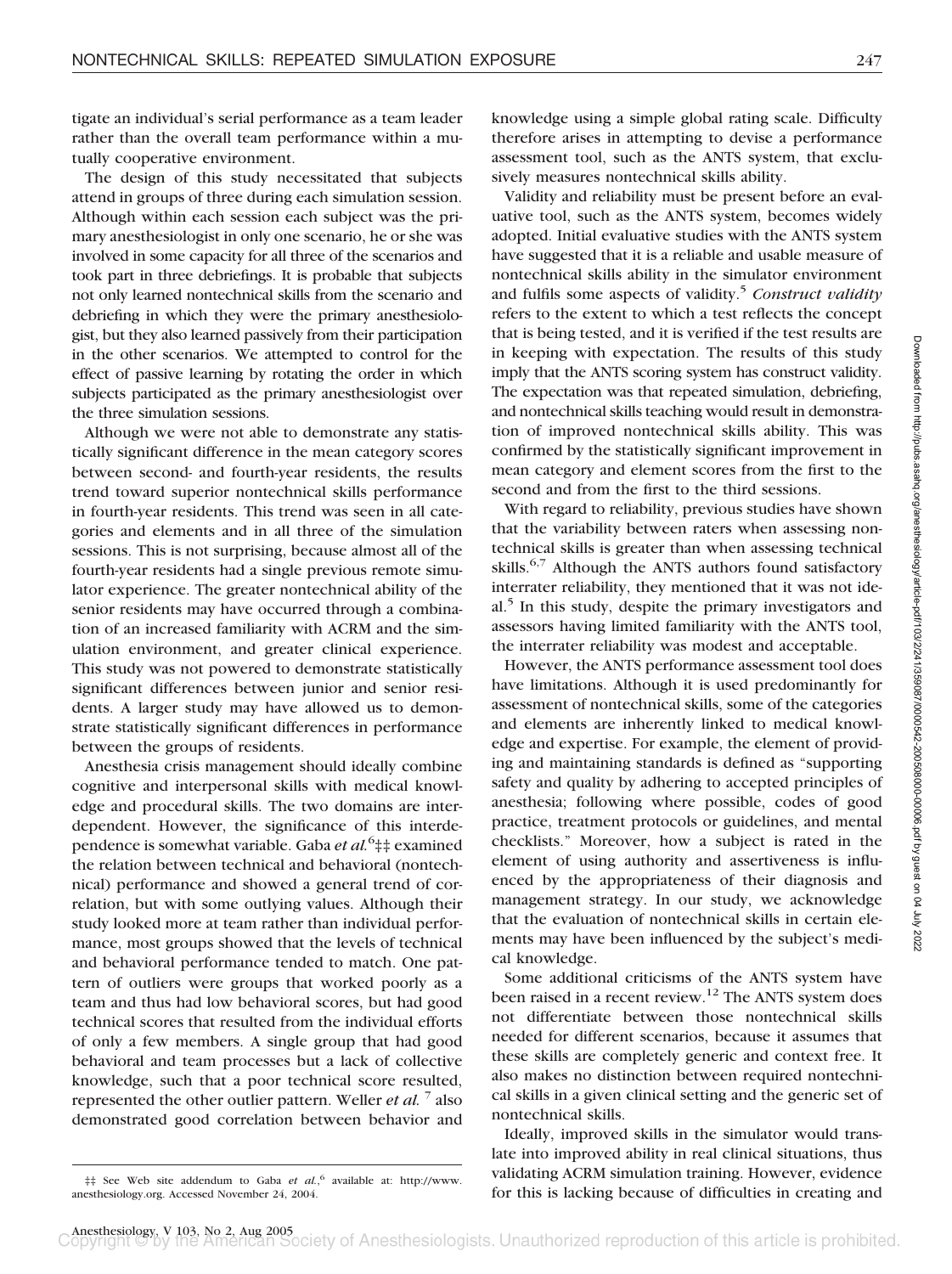tigate an individual's serial performance as a team leader rather than the overall team performance within a mutually cooperative environment.

The design of this study necessitated that subjects attend in groups of three during each simulation session. Although within each session each subject was the primary anesthesiologist in only one scenario, he or she was involved in some capacity for all three of the scenarios and took part in three debriefings. It is probable that subjects not only learned nontechnical skills from the scenario and debriefing in which they were the primary anesthesiologist, but they also learned passively from their participation in the other scenarios. We attempted to control for the effect of passive learning by rotating the order in which subjects participated as the primary anesthesiologist over the three simulation sessions.

Although we were not able to demonstrate any statistically significant difference in the mean category scores between second- and fourth-year residents, the results trend toward superior nontechnical skills performance in fourth-year residents. This trend was seen in all categories and elements and in all three of the simulation sessions. This is not surprising, because almost all of the fourth-year residents had a single previous remote simulator experience. The greater nontechnical ability of the senior residents may have occurred through a combination of an increased familiarity with ACRM and the simulation environment, and greater clinical experience. This study was not powered to demonstrate statistically significant differences between junior and senior residents. A larger study may have allowed us to demonstrate statistically significant differences in performance between the groups of residents.

Anesthesia crisis management should ideally combine cognitive and interpersonal skills with medical knowledge and procedural skills. The two domains are interdependent. However, the significance of this interdependence is somewhat variable. Gaba *et al.*<sup>6</sup> ‡‡ examined the relation between technical and behavioral (nontechnical) performance and showed a general trend of correlation, but with some outlying values. Although their study looked more at team rather than individual performance, most groups showed that the levels of technical and behavioral performance tended to match. One pattern of outliers were groups that worked poorly as a team and thus had low behavioral scores, but had good technical scores that resulted from the individual efforts of only a few members. A single group that had good behavioral and team processes but a lack of collective knowledge, such that a poor technical score resulted, represented the other outlier pattern. Weller *et al.* <sup>7</sup> also demonstrated good correlation between behavior and

knowledge using a simple global rating scale. Difficulty therefore arises in attempting to devise a performance assessment tool, such as the ANTS system, that exclusively measures nontechnical skills ability.

Validity and reliability must be present before an evaluative tool, such as the ANTS system, becomes widely adopted. Initial evaluative studies with the ANTS system have suggested that it is a reliable and usable measure of nontechnical skills ability in the simulator environment and fulfils some aspects of validity.5 *Construct validity* refers to the extent to which a test reflects the concept that is being tested, and it is verified if the test results are in keeping with expectation. The results of this study imply that the ANTS scoring system has construct validity. The expectation was that repeated simulation, debriefing, and nontechnical skills teaching would result in demonstration of improved nontechnical skills ability. This was confirmed by the statistically significant improvement in mean category and element scores from the first to the second and from the first to the third sessions.

With regard to reliability, previous studies have shown that the variability between raters when assessing nontechnical skills is greater than when assessing technical skills.<sup>6,7</sup> Although the ANTS authors found satisfactory interrater reliability, they mentioned that it was not ide $a^{5}$  In this study, despite the primary investigators and assessors having limited familiarity with the ANTS tool, the interrater reliability was modest and acceptable.

However, the ANTS performance assessment tool does have limitations. Although it is used predominantly for assessment of nontechnical skills, some of the categories and elements are inherently linked to medical knowledge and expertise. For example, the element of providing and maintaining standards is defined as "supporting safety and quality by adhering to accepted principles of anesthesia; following where possible, codes of good practice, treatment protocols or guidelines, and mental checklists." Moreover, how a subject is rated in the element of using authority and assertiveness is influenced by the appropriateness of their diagnosis and management strategy. In our study, we acknowledge that the evaluation of nontechnical skills in certain elements may have been influenced by the subject's medical knowledge.

Some additional criticisms of the ANTS system have been raised in a recent review.<sup>12</sup> The ANTS system does not differentiate between those nontechnical skills needed for different scenarios, because it assumes that these skills are completely generic and context free. It also makes no distinction between required nontechnical skills in a given clinical setting and the generic set of nontechnical skills.

Ideally, improved skills in the simulator would translate into improved ability in real clinical situations, thus validating ACRM simulation training. However, evidence for this is lacking because of difficulties in creating and

<sup>‡‡</sup> See Web site addendum to Gaba *et al.*, <sup>6</sup> available at: http://www. anesthesiology.org. Accessed November 24, 2004.